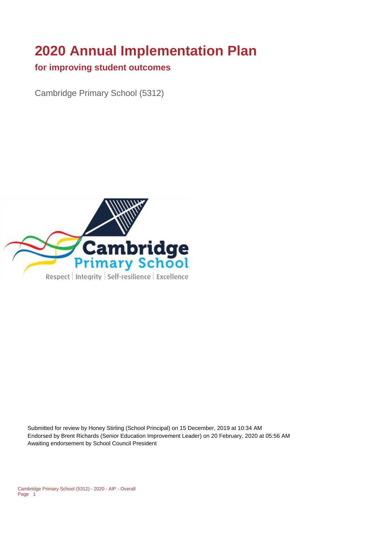# **2020 Annual Implementation Plan**

#### **for improving student outcomes**

Cambridge Primary School (5312)



Submitted for review by Honey Stirling (School Principal) on 15 December, 2019 at 10:34 AM Endorsed by Brent Richards (Senior Education Improvement Leader) on 20 February, 2020 at 05:56 AM Awaiting endorsement by School Council President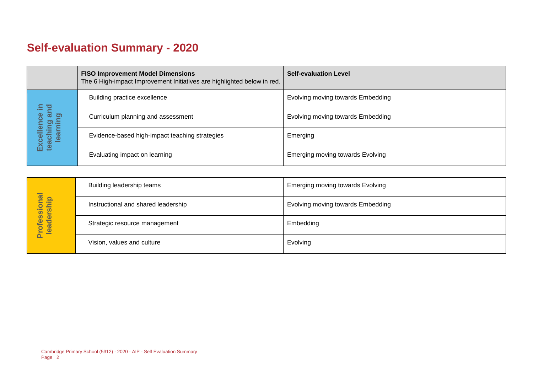# **Self-evaluation Summary - 2020**

|                                                                            | <b>FISO Improvement Model Dimensions</b><br>The 6 High-impact Improvement Initiatives are highlighted below in red. | <b>Self-evaluation Level</b>            |
|----------------------------------------------------------------------------|---------------------------------------------------------------------------------------------------------------------|-----------------------------------------|
| bure<br>and<br>ဗီ<br>ing ai<br>ming<br><b>G</b><br>learn<br>Excel<br>teach | Building practice excellence                                                                                        | Evolving moving towards Embedding       |
|                                                                            | Curriculum planning and assessment                                                                                  | Evolving moving towards Embedding       |
|                                                                            | Evidence-based high-impact teaching strategies                                                                      | Emerging                                |
|                                                                            | Evaluating impact on learning                                                                                       | <b>Emerging moving towards Evolving</b> |

|                            | Building leadership teams           | <b>Emerging moving towards Evolving</b> |
|----------------------------|-------------------------------------|-----------------------------------------|
|                            | Instructional and shared leadership | Evolving moving towards Embedding       |
| Professional<br>leadership | Strategic resource management       | Embedding                               |
|                            | Vision, values and culture          | Evolving                                |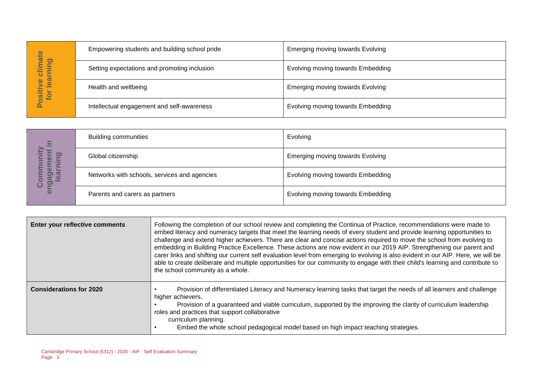| hate<br>pui<br>s<br>learn<br>ပ<br>Φ<br>ositiv<br>for | Empowering students and building school pride | <b>Emerging moving towards Evolving</b> |
|------------------------------------------------------|-----------------------------------------------|-----------------------------------------|
|                                                      | Setting expectations and promoting inclusion  | Evolving moving towards Embedding       |
|                                                      | Health and wellbeing                          | Emerging moving towards Evolving        |
|                                                      | Intellectual engagement and self-awareness    | Evolving moving towards Embedding       |

| $\mathbf{C}$<br><b>COMPOSITE</b><br>$\mathbf{\Theta}$<br>$\overline{\omega}$<br>ත<br>$\overline{\mathbf{a}}$ | <b>Building communities</b>                  | Evolving                                |
|--------------------------------------------------------------------------------------------------------------|----------------------------------------------|-----------------------------------------|
|                                                                                                              | Global citizenship                           | <b>Emerging moving towards Evolving</b> |
|                                                                                                              | Networks with schools, services and agencies | Evolving moving towards Embedding       |
|                                                                                                              | Parents and carers as partners               | Evolving moving towards Embedding       |

|                                                                                  | Empowering students and building school pride |                                                                                                                                                                                                                                                                                                                                                                                                                                            | $\mathsf{m}$ nerging moving towarus Evolving                                                                                                                                                                                                                                                                                                                                                                                                                                                                                                                                                                                                                                                                                                                               |  |
|----------------------------------------------------------------------------------|-----------------------------------------------|--------------------------------------------------------------------------------------------------------------------------------------------------------------------------------------------------------------------------------------------------------------------------------------------------------------------------------------------------------------------------------------------------------------------------------------------|----------------------------------------------------------------------------------------------------------------------------------------------------------------------------------------------------------------------------------------------------------------------------------------------------------------------------------------------------------------------------------------------------------------------------------------------------------------------------------------------------------------------------------------------------------------------------------------------------------------------------------------------------------------------------------------------------------------------------------------------------------------------------|--|
| Positive climate<br>for learning                                                 | Setting expectations and promoting inclusion  |                                                                                                                                                                                                                                                                                                                                                                                                                                            | Evolving moving towards Embedding                                                                                                                                                                                                                                                                                                                                                                                                                                                                                                                                                                                                                                                                                                                                          |  |
|                                                                                  | Health and wellbeing                          |                                                                                                                                                                                                                                                                                                                                                                                                                                            | <b>Emerging moving towards Evolving</b>                                                                                                                                                                                                                                                                                                                                                                                                                                                                                                                                                                                                                                                                                                                                    |  |
|                                                                                  |                                               | Intellectual engagement and self-awareness                                                                                                                                                                                                                                                                                                                                                                                                 | Evolving moving towards Embedding                                                                                                                                                                                                                                                                                                                                                                                                                                                                                                                                                                                                                                                                                                                                          |  |
|                                                                                  |                                               |                                                                                                                                                                                                                                                                                                                                                                                                                                            |                                                                                                                                                                                                                                                                                                                                                                                                                                                                                                                                                                                                                                                                                                                                                                            |  |
|                                                                                  | <b>Building communities</b>                   |                                                                                                                                                                                                                                                                                                                                                                                                                                            | Evolving                                                                                                                                                                                                                                                                                                                                                                                                                                                                                                                                                                                                                                                                                                                                                                   |  |
| learning                                                                         | Global citizenship                            |                                                                                                                                                                                                                                                                                                                                                                                                                                            | <b>Emerging moving towards Evolving</b>                                                                                                                                                                                                                                                                                                                                                                                                                                                                                                                                                                                                                                                                                                                                    |  |
| engagement in<br>Community                                                       | Networks with schools, services and agencies  |                                                                                                                                                                                                                                                                                                                                                                                                                                            | Evolving moving towards Embedding                                                                                                                                                                                                                                                                                                                                                                                                                                                                                                                                                                                                                                                                                                                                          |  |
|                                                                                  | Parents and carers as partners                |                                                                                                                                                                                                                                                                                                                                                                                                                                            | Evolving moving towards Embedding                                                                                                                                                                                                                                                                                                                                                                                                                                                                                                                                                                                                                                                                                                                                          |  |
|                                                                                  |                                               |                                                                                                                                                                                                                                                                                                                                                                                                                                            |                                                                                                                                                                                                                                                                                                                                                                                                                                                                                                                                                                                                                                                                                                                                                                            |  |
| Enter your reflective comments                                                   |                                               | the school community as a whole.                                                                                                                                                                                                                                                                                                                                                                                                           | Following the completion of our school review and completing the Continua of Practice, recommendations were made to<br>embed literacy and numeracy targets that meet the learning needs of every student and provide learning opportunities to<br>challenge and extend higher achievers. There are clear and concise actions required to move the school from evolving to<br>embedding in Building Practice Excellence. These actions are now evident in our 2019 AIP. Strengthening our parent and<br>carer links and shifting our current self evaluation level from emerging to evolving is also evident in our AIP. Here, we will be<br>able to create deliberate and multiple opportunities for our community to engage with their child's learning and contribute to |  |
| <b>Considerations for 2020</b>                                                   |                                               | Provision of differentiated Literacy and Numeracy learning tasks that target the needs of all learners and challenge<br>higher achievers.<br>Provision of a guaranteed and viable curriculum, supported by the improving the clarity of curriculum leadership<br>roles and practices that support collaborative<br>curriculum planning.<br>Embed the whole school pedagogical model based on high impact teaching strategies.<br>$\bullet$ |                                                                                                                                                                                                                                                                                                                                                                                                                                                                                                                                                                                                                                                                                                                                                                            |  |
| Cambridge Primary School (5312) - 2020 - AIP - Self Evaluation Summary<br>Page 3 |                                               |                                                                                                                                                                                                                                                                                                                                                                                                                                            |                                                                                                                                                                                                                                                                                                                                                                                                                                                                                                                                                                                                                                                                                                                                                                            |  |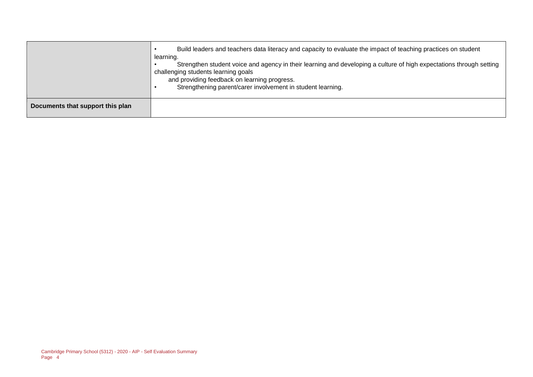|                                  | Build leaders and teachers data literacy and capacity to evaluate the impact of teaching practices on student<br>learning.<br>Strengthen student voice and agency in their learning and developing a culture of high expectations through setting<br>challenging students learning goals<br>and providing feedback on learning progress.<br>Strengthening parent/carer involvement in student learning. |
|----------------------------------|---------------------------------------------------------------------------------------------------------------------------------------------------------------------------------------------------------------------------------------------------------------------------------------------------------------------------------------------------------------------------------------------------------|
| Documents that support this plan |                                                                                                                                                                                                                                                                                                                                                                                                         |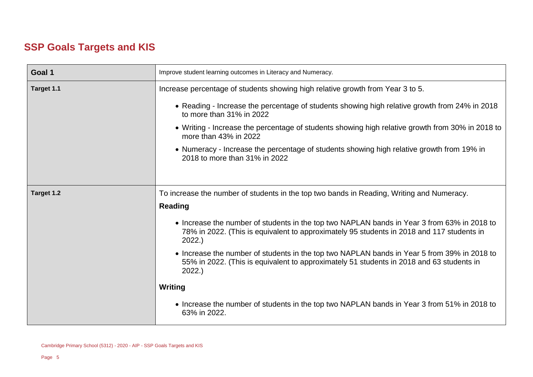### **SSP Goals Targets and KIS**

| Goal 1     | Improve student learning outcomes in Literacy and Numeracy.                                                                                                                                       |
|------------|---------------------------------------------------------------------------------------------------------------------------------------------------------------------------------------------------|
| Target 1.1 | Increase percentage of students showing high relative growth from Year 3 to 5.                                                                                                                    |
|            | • Reading - Increase the percentage of students showing high relative growth from 24% in 2018<br>to more than 31% in 2022                                                                         |
|            | • Writing - Increase the percentage of students showing high relative growth from 30% in 2018 to<br>more than 43% in 2022                                                                         |
|            | • Numeracy - Increase the percentage of students showing high relative growth from 19% in<br>2018 to more than 31% in 2022                                                                        |
|            |                                                                                                                                                                                                   |
| Target 1.2 | To increase the number of students in the top two bands in Reading, Writing and Numeracy.                                                                                                         |
|            | <b>Reading</b>                                                                                                                                                                                    |
|            | • Increase the number of students in the top two NAPLAN bands in Year 3 from 63% in 2018 to<br>78% in 2022. (This is equivalent to approximately 95 students in 2018 and 117 students in<br>2022. |
|            | • Increase the number of students in the top two NAPLAN bands in Year 5 from 39% in 2018 to<br>55% in 2022. (This is equivalent to approximately 51 students in 2018 and 63 students in<br>2022.  |
|            | <b>Writing</b>                                                                                                                                                                                    |
|            | • Increase the number of students in the top two NAPLAN bands in Year 3 from 51% in 2018 to<br>63% in 2022.                                                                                       |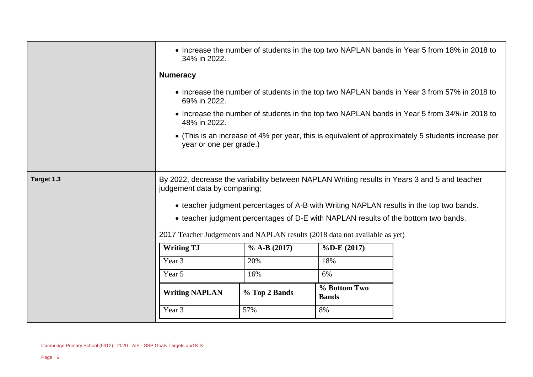|            | • Increase the number of students in the top two NAPLAN bands in Year 5 from 18% in 2018 to<br>34% in 2022.                                                                                                              |               |                                                                                    |                                                                                                    |
|------------|--------------------------------------------------------------------------------------------------------------------------------------------------------------------------------------------------------------------------|---------------|------------------------------------------------------------------------------------|----------------------------------------------------------------------------------------------------|
|            | <b>Numeracy</b>                                                                                                                                                                                                          |               |                                                                                    |                                                                                                    |
|            | 69% in 2022.                                                                                                                                                                                                             |               |                                                                                    | • Increase the number of students in the top two NAPLAN bands in Year 3 from 57% in 2018 to        |
|            | • Increase the number of students in the top two NAPLAN bands in Year 5 from 34% in 2018 to<br>48% in 2022.                                                                                                              |               |                                                                                    |                                                                                                    |
|            | year or one per grade.)                                                                                                                                                                                                  |               |                                                                                    | • (This is an increase of 4% per year, this is equivalent of approximately 5 students increase per |
| Target 1.3 | By 2022, decrease the variability between NAPLAN Writing results in Years 3 and 5 and teacher<br>judgement data by comparing;<br>• teacher judgment percentages of A-B with Writing NAPLAN results in the top two bands. |               |                                                                                    |                                                                                                    |
|            |                                                                                                                                                                                                                          |               | • teacher judgment percentages of D-E with NAPLAN results of the bottom two bands. |                                                                                                    |
|            | 2017 Teacher Judgements and NAPLAN results (2018 data not available as yet)                                                                                                                                              |               |                                                                                    |                                                                                                    |
|            | <b>Writing TJ</b><br>$%$ A-B (2017)<br>$\%$ D-E $(2017)$                                                                                                                                                                 |               |                                                                                    |                                                                                                    |
|            | Year 3                                                                                                                                                                                                                   | 20%           | 18%                                                                                |                                                                                                    |
|            | Year 5                                                                                                                                                                                                                   | 16%           | 6%                                                                                 |                                                                                                    |
|            | <b>Writing NAPLAN</b>                                                                                                                                                                                                    | % Top 2 Bands | % Bottom Two<br><b>Bands</b>                                                       |                                                                                                    |
|            | Year 3                                                                                                                                                                                                                   | 57%           | 8%                                                                                 |                                                                                                    |
|            |                                                                                                                                                                                                                          |               |                                                                                    |                                                                                                    |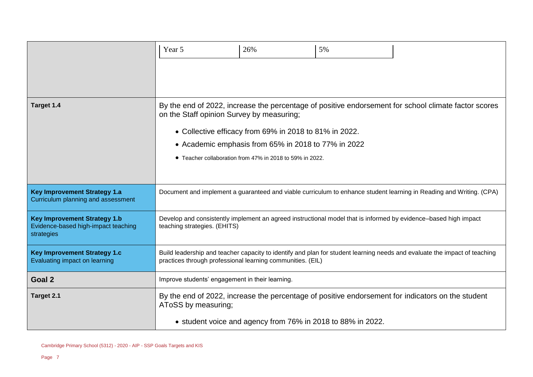|                                                                                          | Year 5                                                                                                                                                                                  | 26%                                                                                                                                                                       | 5% |                                                                                                                     |
|------------------------------------------------------------------------------------------|-----------------------------------------------------------------------------------------------------------------------------------------------------------------------------------------|---------------------------------------------------------------------------------------------------------------------------------------------------------------------------|----|---------------------------------------------------------------------------------------------------------------------|
| Target 1.4                                                                               | on the Staff opinion Survey by measuring;                                                                                                                                               | • Collective efficacy from 69% in 2018 to 81% in 2022.<br>• Academic emphasis from 65% in 2018 to 77% in 2022<br>• Teacher collaboration from 47% in 2018 to 59% in 2022. |    | By the end of 2022, increase the percentage of positive endorsement for school climate factor scores                |
| <b>Key Improvement Strategy 1.a</b><br>Curriculum planning and assessment                |                                                                                                                                                                                         |                                                                                                                                                                           |    | Document and implement a guaranteed and viable curriculum to enhance student learning in Reading and Writing. (CPA) |
| <b>Key Improvement Strategy 1.b</b><br>Evidence-based high-impact teaching<br>strategies | Develop and consistently implement an agreed instructional model that is informed by evidence-based high impact<br>teaching strategies. (EHITS)                                         |                                                                                                                                                                           |    |                                                                                                                     |
| <b>Key Improvement Strategy 1.c</b><br>Evaluating impact on learning                     | Build leadership and teacher capacity to identify and plan for student learning needs and evaluate the impact of teaching<br>practices through professional learning communities. (EIL) |                                                                                                                                                                           |    |                                                                                                                     |
| Goal 2                                                                                   | Improve students' engagement in their learning.                                                                                                                                         |                                                                                                                                                                           |    |                                                                                                                     |
| Target 2.1                                                                               | AToSS by measuring;                                                                                                                                                                     | • student voice and agency from 76% in 2018 to 88% in 2022.                                                                                                               |    | By the end of 2022, increase the percentage of positive endorsement for indicators on the student                   |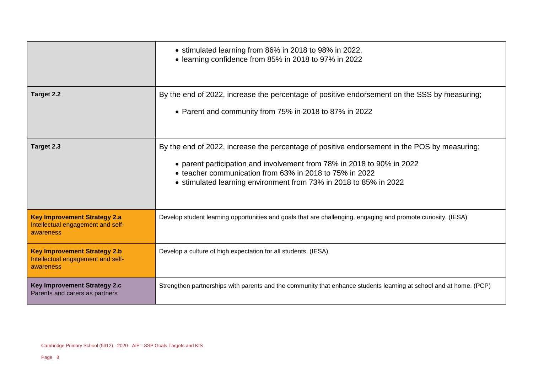|                                                                                       | • stimulated learning from 86% in 2018 to 98% in 2022.<br>• learning confidence from 85% in 2018 to 97% in 2022                                                                                                                                                                                        |
|---------------------------------------------------------------------------------------|--------------------------------------------------------------------------------------------------------------------------------------------------------------------------------------------------------------------------------------------------------------------------------------------------------|
| Target 2.2                                                                            | By the end of 2022, increase the percentage of positive endorsement on the SSS by measuring;<br>• Parent and community from 75% in 2018 to 87% in 2022                                                                                                                                                 |
| Target 2.3                                                                            | By the end of 2022, increase the percentage of positive endorsement in the POS by measuring;<br>• parent participation and involvement from 78% in 2018 to 90% in 2022<br>• teacher communication from 63% in 2018 to 75% in 2022<br>• stimulated learning environment from 73% in 2018 to 85% in 2022 |
| <b>Key Improvement Strategy 2.a</b><br>Intellectual engagement and self-<br>awareness | Develop student learning opportunities and goals that are challenging, engaging and promote curiosity. (IESA)                                                                                                                                                                                          |
| <b>Key Improvement Strategy 2.b</b><br>Intellectual engagement and self-<br>awareness | Develop a culture of high expectation for all students. (IESA)                                                                                                                                                                                                                                         |
| <b>Key Improvement Strategy 2.c</b><br>Parents and carers as partners                 | Strengthen partnerships with parents and the community that enhance students learning at school and at home. (PCP)                                                                                                                                                                                     |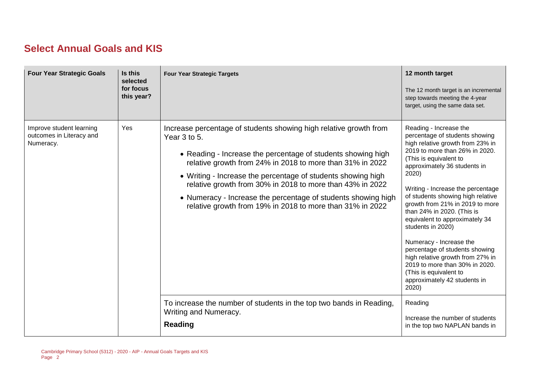#### **Select Annual Goals and KIS**

| <b>Four Year Strategic Goals</b>                                  | Is this<br>selected<br>for focus<br>this year? | <b>Four Year Strategic Targets</b>                                                                                                                                                                                                                                                                                                                                                                                                                                                                                                                                               | 12 month target<br>The 12 month target is an incremental<br>step towards meeting the 4-year<br>target, using the same data set.                                                                                                                                                                                                                                                                                                                                                                                                                                                                                                                         |
|-------------------------------------------------------------------|------------------------------------------------|----------------------------------------------------------------------------------------------------------------------------------------------------------------------------------------------------------------------------------------------------------------------------------------------------------------------------------------------------------------------------------------------------------------------------------------------------------------------------------------------------------------------------------------------------------------------------------|---------------------------------------------------------------------------------------------------------------------------------------------------------------------------------------------------------------------------------------------------------------------------------------------------------------------------------------------------------------------------------------------------------------------------------------------------------------------------------------------------------------------------------------------------------------------------------------------------------------------------------------------------------|
| Improve student learning<br>outcomes in Literacy and<br>Numeracy. | Yes                                            | Increase percentage of students showing high relative growth from<br>Year 3 to 5.<br>• Reading - Increase the percentage of students showing high<br>relative growth from 24% in 2018 to more than 31% in 2022<br>• Writing - Increase the percentage of students showing high<br>relative growth from 30% in 2018 to more than 43% in 2022<br>• Numeracy - Increase the percentage of students showing high<br>relative growth from 19% in 2018 to more than 31% in 2022<br>To increase the number of students in the top two bands in Reading,<br><b>Writing and Numeracy.</b> | Reading - Increase the<br>percentage of students showing<br>high relative growth from 23% in<br>2019 to more than 26% in 2020.<br>(This is equivalent to<br>approximately 36 students in<br>2020)<br>Writing - Increase the percentage<br>of students showing high relative<br>growth from 21% in 2019 to more<br>than 24% in 2020. (This is<br>equivalent to approximately 34<br>students in 2020)<br>Numeracy - Increase the<br>percentage of students showing<br>high relative growth from 27% in<br>2019 to more than 30% in 2020.<br>(This is equivalent to<br>approximately 42 students in<br>2020)<br>Reading<br>Increase the number of students |
|                                                                   |                                                | <b>Reading</b>                                                                                                                                                                                                                                                                                                                                                                                                                                                                                                                                                                   | in the top two NAPLAN bands in                                                                                                                                                                                                                                                                                                                                                                                                                                                                                                                                                                                                                          |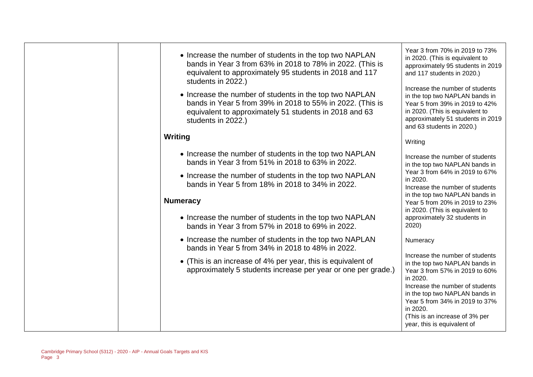| • Increase the number of students in the top two NAPLAN<br>bands in Year 3 from 63% in 2018 to 78% in 2022. (This is<br>equivalent to approximately 95 students in 2018 and 117<br>students in 2022.) | Year 3 from 70% in 2019 to 73%<br>in 2020. (This is equivalent to<br>approximately 95 students in 2019<br>and 117 students in 2020.)<br>Increase the number of students          |
|-------------------------------------------------------------------------------------------------------------------------------------------------------------------------------------------------------|----------------------------------------------------------------------------------------------------------------------------------------------------------------------------------|
| • Increase the number of students in the top two NAPLAN<br>bands in Year 5 from 39% in 2018 to 55% in 2022. (This is<br>equivalent to approximately 51 students in 2018 and 63<br>students in 2022.)  | in the top two NAPLAN bands in<br>Year 5 from 39% in 2019 to 42%<br>in 2020. (This is equivalent to<br>approximately 51 students in 2019<br>and 63 students in 2020.)            |
| Writing                                                                                                                                                                                               | Writing                                                                                                                                                                          |
| • Increase the number of students in the top two NAPLAN<br>bands in Year 3 from 51% in 2018 to 63% in 2022.                                                                                           | Increase the number of students<br>in the top two NAPLAN bands in                                                                                                                |
| • Increase the number of students in the top two NAPLAN<br>bands in Year 5 from 18% in 2018 to 34% in 2022.                                                                                           | Year 3 from 64% in 2019 to 67%<br>in 2020.<br>Increase the number of students                                                                                                    |
| <b>Numeracy</b>                                                                                                                                                                                       | in the top two NAPLAN bands in<br>Year 5 from 20% in 2019 to 23%                                                                                                                 |
| • Increase the number of students in the top two NAPLAN<br>bands in Year 3 from 57% in 2018 to 69% in 2022.                                                                                           | in 2020. (This is equivalent to<br>approximately 32 students in<br>2020)                                                                                                         |
| • Increase the number of students in the top two NAPLAN<br>bands in Year 5 from 34% in 2018 to 48% in 2022.                                                                                           | Numeracy                                                                                                                                                                         |
| • (This is an increase of 4% per year, this is equivalent of<br>approximately 5 students increase per year or one per grade.)                                                                         | Increase the number of students<br>in the top two NAPLAN bands in<br>Year 3 from 57% in 2019 to 60%<br>in 2020.                                                                  |
|                                                                                                                                                                                                       | Increase the number of students<br>in the top two NAPLAN bands in<br>Year 5 from 34% in 2019 to 37%<br>in 2020.<br>(This is an increase of 3% per<br>year, this is equivalent of |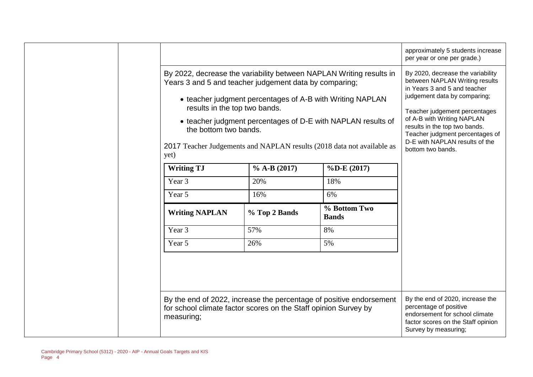|                                                                 |                |                                                                        | approximately 5 students increase<br>per year or one per grade.)                                    |
|-----------------------------------------------------------------|----------------|------------------------------------------------------------------------|-----------------------------------------------------------------------------------------------------|
| Years 3 and 5 and teacher judgement data by comparing;          |                | By 2022, decrease the variability between NAPLAN Writing results in    | By 2020, decrease the variability<br>between NAPLAN Writing results<br>in Years 3 and 5 and teacher |
| results in the top two bands.                                   |                | • teacher judgment percentages of A-B with Writing NAPLAN              | judgement data by comparing;<br>Teacher judgement percentages                                       |
| the bottom two bands.                                           |                | • teacher judgment percentages of D-E with NAPLAN results of           | of A-B with Writing NAPLAN<br>results in the top two bands.<br>Teacher judgment percentages of      |
| yet)                                                            |                | 2017 Teacher Judgements and NAPLAN results (2018 data not available as | D-E with NAPLAN results of the<br>bottom two bands.                                                 |
| <b>Writing TJ</b>                                               | $% A-B (2017)$ | $\%$ D-E (2017)                                                        |                                                                                                     |
| Year 3                                                          | 20%            | 18%                                                                    |                                                                                                     |
| Year 5                                                          | 16%            | 6%                                                                     |                                                                                                     |
| <b>Writing NAPLAN</b>                                           | % Top 2 Bands  | % Bottom Two<br><b>Bands</b>                                           |                                                                                                     |
| Year 3                                                          | 57%            | 8%                                                                     |                                                                                                     |
| Year 5                                                          | 26%            | 5%                                                                     |                                                                                                     |
| for school climate factor scores on the Staff opinion Survey by |                | By the end of 2022, increase the percentage of positive endorsement    | By the end of 2020, increase the<br>percentage of positive                                          |
| measuring;                                                      |                |                                                                        | endorsement for school climate<br>factor scores on the Staff opinion<br>Survey by measuring;        |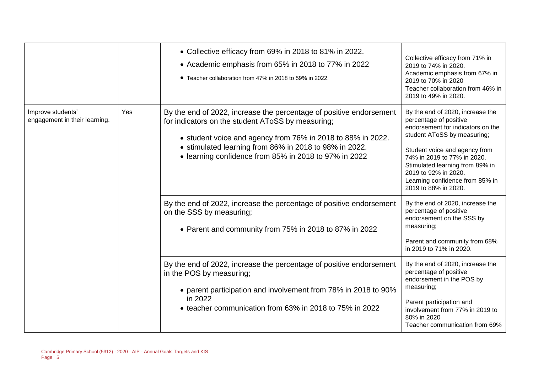|                                                    |     | • Collective efficacy from 69% in 2018 to 81% in 2022.<br>• Academic emphasis from 65% in 2018 to 77% in 2022<br>• Teacher collaboration from 47% in 2018 to 59% in 2022.                                                                                                                                                                                                                                                                                               | Collective efficacy from 71% in<br>2019 to 74% in 2020.<br>Academic emphasis from 67% in<br>2019 to 70% in 2020<br>Teacher collaboration from 46% in<br>2019 to 49% in 2020.                                                                                                                                                                                                                                                  |
|----------------------------------------------------|-----|-------------------------------------------------------------------------------------------------------------------------------------------------------------------------------------------------------------------------------------------------------------------------------------------------------------------------------------------------------------------------------------------------------------------------------------------------------------------------|-------------------------------------------------------------------------------------------------------------------------------------------------------------------------------------------------------------------------------------------------------------------------------------------------------------------------------------------------------------------------------------------------------------------------------|
| Improve students'<br>engagement in their learning. | Yes | By the end of 2022, increase the percentage of positive endorsement<br>for indicators on the student AToSS by measuring;<br>• student voice and agency from 76% in 2018 to 88% in 2022.<br>• stimulated learning from 86% in 2018 to 98% in 2022.<br>• learning confidence from 85% in 2018 to 97% in 2022<br>By the end of 2022, increase the percentage of positive endorsement<br>on the SSS by measuring;<br>• Parent and community from 75% in 2018 to 87% in 2022 | By the end of 2020, increase the<br>percentage of positive<br>endorsement for indicators on the<br>student AToSS by measuring;<br>Student voice and agency from<br>74% in 2019 to 77% in 2020.<br>Stimulated learning from 89% in<br>2019 to 92% in 2020.<br>Learning confidence from 85% in<br>2019 to 88% in 2020.<br>By the end of 2020, increase the<br>percentage of positive<br>endorsement on the SSS by<br>measuring; |
|                                                    |     | By the end of 2022, increase the percentage of positive endorsement<br>in the POS by measuring;<br>• parent participation and involvement from 78% in 2018 to 90%<br>in 2022<br>• teacher communication from 63% in 2018 to 75% in 2022                                                                                                                                                                                                                                 | Parent and community from 68%<br>in 2019 to 71% in 2020.<br>By the end of 2020, increase the<br>percentage of positive<br>endorsement in the POS by<br>measuring;<br>Parent participation and<br>involvement from 77% in 2019 to<br>80% in 2020<br>Teacher communication from 69%                                                                                                                                             |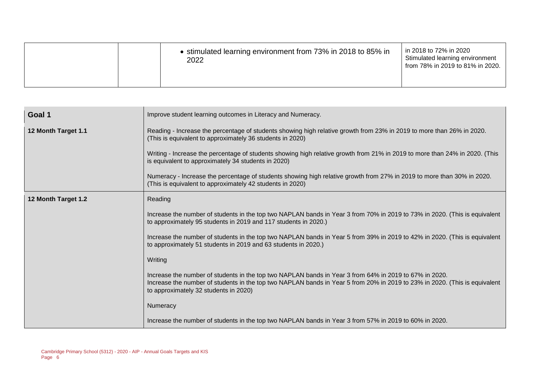| 2022 | • stimulated learning environment from 73% in 2018 to 85% in | in 2018 to 72% in 2020<br>Stimulated learning environment<br>from 78% in 2019 to 81% in 2020. |
|------|--------------------------------------------------------------|-----------------------------------------------------------------------------------------------|
|------|--------------------------------------------------------------|-----------------------------------------------------------------------------------------------|

| Goal 1              | Improve student learning outcomes in Literacy and Numeracy.                                                                                                                                                                                                                   |
|---------------------|-------------------------------------------------------------------------------------------------------------------------------------------------------------------------------------------------------------------------------------------------------------------------------|
| 12 Month Target 1.1 | Reading - Increase the percentage of students showing high relative growth from 23% in 2019 to more than 26% in 2020.<br>(This is equivalent to approximately 36 students in 2020)                                                                                            |
|                     | Writing - Increase the percentage of students showing high relative growth from 21% in 2019 to more than 24% in 2020. (This<br>is equivalent to approximately 34 students in 2020)                                                                                            |
|                     | Numeracy - Increase the percentage of students showing high relative growth from 27% in 2019 to more than 30% in 2020.<br>(This is equivalent to approximately 42 students in 2020)                                                                                           |
| 12 Month Target 1.2 | Reading                                                                                                                                                                                                                                                                       |
|                     | Increase the number of students in the top two NAPLAN bands in Year 3 from 70% in 2019 to 73% in 2020. (This is equivalent<br>to approximately 95 students in 2019 and 117 students in 2020.)                                                                                 |
|                     | Increase the number of students in the top two NAPLAN bands in Year 5 from 39% in 2019 to 42% in 2020. (This is equivalent<br>to approximately 51 students in 2019 and 63 students in 2020.)                                                                                  |
|                     | Writing                                                                                                                                                                                                                                                                       |
|                     | Increase the number of students in the top two NAPLAN bands in Year 3 from 64% in 2019 to 67% in 2020.<br>Increase the number of students in the top two NAPLAN bands in Year 5 from 20% in 2019 to 23% in 2020. (This is equivalent<br>to approximately 32 students in 2020) |
|                     | Numeracy                                                                                                                                                                                                                                                                      |
|                     | Increase the number of students in the top two NAPLAN bands in Year 3 from 57% in 2019 to 60% in 2020.                                                                                                                                                                        |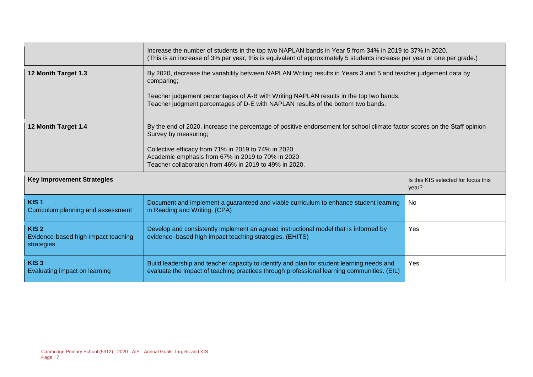|                                                                       | Increase the number of students in the top two NAPLAN bands in Year 5 from 34% in 2019 to 37% in 2020.<br>(This is an increase of 3% per year, this is equivalent of approximately 5 students increase per year or one per grade.)                                                                                       |                                              |  |  |  |
|-----------------------------------------------------------------------|--------------------------------------------------------------------------------------------------------------------------------------------------------------------------------------------------------------------------------------------------------------------------------------------------------------------------|----------------------------------------------|--|--|--|
| 12 Month Target 1.3                                                   | By 2020, decrease the variability between NAPLAN Writing results in Years 3 and 5 and teacher judgement data by<br>comparing;                                                                                                                                                                                            |                                              |  |  |  |
|                                                                       | Teacher judgement percentages of A-B with Writing NAPLAN results in the top two bands.<br>Teacher judgment percentages of D-E with NAPLAN results of the bottom two bands.                                                                                                                                               |                                              |  |  |  |
| 12 Month Target 1.4                                                   | By the end of 2020, increase the percentage of positive endorsement for school climate factor scores on the Staff opinion<br>Survey by measuring;<br>Collective efficacy from 71% in 2019 to 74% in 2020.<br>Academic emphasis from 67% in 2019 to 70% in 2020<br>Teacher collaboration from 46% in 2019 to 49% in 2020. |                                              |  |  |  |
| <b>Key Improvement Strategies</b>                                     |                                                                                                                                                                                                                                                                                                                          | Is this KIS selected for focus this<br>year? |  |  |  |
| KIS <sub>1</sub><br>Curriculum planning and assessment                | Document and implement a guaranteed and viable curriculum to enhance student learning<br>in Reading and Writing. (CPA)                                                                                                                                                                                                   | No                                           |  |  |  |
| KIS <sub>2</sub><br>Evidence-based high-impact teaching<br>strategies | Develop and consistently implement an agreed instructional model that is informed by<br>Yes<br>evidence-based high impact teaching strategies. (EHITS)                                                                                                                                                                   |                                              |  |  |  |
| KIS <sub>3</sub><br>Evaluating impact on learning                     | Build leadership and teacher capacity to identify and plan for student learning needs and<br>evaluate the impact of teaching practices through professional learning communities. (EIL)                                                                                                                                  | Yes                                          |  |  |  |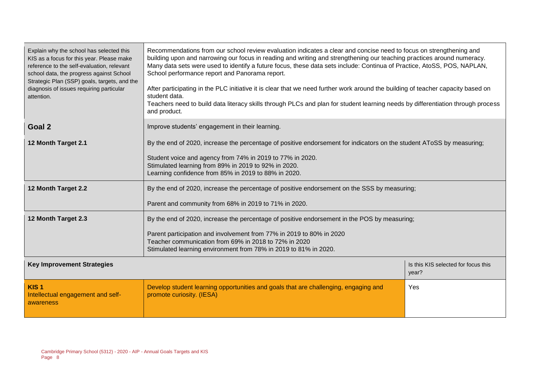| Explain why the school has selected this<br>KIS as a focus for this year. Please make<br>reference to the self-evaluation, relevant<br>school data, the progress against School<br>Strategic Plan (SSP) goals, targets, and the<br>diagnosis of issues requiring particular<br>attention. | Recommendations from our school review evaluation indicates a clear and concise need to focus on strengthening and<br>building upon and narrowing our focus in reading and writing and strengthening our teaching practices around numeracy.<br>Many data sets were used to identify a future focus, these data sets include: Continua of Practice, AtoSS, POS, NAPLAN,<br>School performance report and Panorama report.<br>After participating in the PLC initiative it is clear that we need further work around the building of teacher capacity based on<br>student data.<br>Teachers need to build data literacy skills through PLCs and plan for student learning needs by differentiation through process<br>and product. |  |  |  |
|-------------------------------------------------------------------------------------------------------------------------------------------------------------------------------------------------------------------------------------------------------------------------------------------|-----------------------------------------------------------------------------------------------------------------------------------------------------------------------------------------------------------------------------------------------------------------------------------------------------------------------------------------------------------------------------------------------------------------------------------------------------------------------------------------------------------------------------------------------------------------------------------------------------------------------------------------------------------------------------------------------------------------------------------|--|--|--|
| Goal 2                                                                                                                                                                                                                                                                                    | Improve students' engagement in their learning.                                                                                                                                                                                                                                                                                                                                                                                                                                                                                                                                                                                                                                                                                   |  |  |  |
| 12 Month Target 2.1                                                                                                                                                                                                                                                                       | By the end of 2020, increase the percentage of positive endorsement for indicators on the student AToSS by measuring;                                                                                                                                                                                                                                                                                                                                                                                                                                                                                                                                                                                                             |  |  |  |
|                                                                                                                                                                                                                                                                                           | Student voice and agency from 74% in 2019 to 77% in 2020.<br>Stimulated learning from 89% in 2019 to 92% in 2020.<br>Learning confidence from 85% in 2019 to 88% in 2020.                                                                                                                                                                                                                                                                                                                                                                                                                                                                                                                                                         |  |  |  |
| 12 Month Target 2.2                                                                                                                                                                                                                                                                       | By the end of 2020, increase the percentage of positive endorsement on the SSS by measuring;                                                                                                                                                                                                                                                                                                                                                                                                                                                                                                                                                                                                                                      |  |  |  |
|                                                                                                                                                                                                                                                                                           | Parent and community from 68% in 2019 to 71% in 2020.                                                                                                                                                                                                                                                                                                                                                                                                                                                                                                                                                                                                                                                                             |  |  |  |
| 12 Month Target 2.3                                                                                                                                                                                                                                                                       | By the end of 2020, increase the percentage of positive endorsement in the POS by measuring;                                                                                                                                                                                                                                                                                                                                                                                                                                                                                                                                                                                                                                      |  |  |  |
|                                                                                                                                                                                                                                                                                           | Parent participation and involvement from 77% in 2019 to 80% in 2020<br>Teacher communication from 69% in 2018 to 72% in 2020<br>Stimulated learning environment from 78% in 2019 to 81% in 2020.                                                                                                                                                                                                                                                                                                                                                                                                                                                                                                                                 |  |  |  |
| <b>Key Improvement Strategies</b><br>Is this KIS selected for focus this<br>year?                                                                                                                                                                                                         |                                                                                                                                                                                                                                                                                                                                                                                                                                                                                                                                                                                                                                                                                                                                   |  |  |  |
| KIS <sub>1</sub><br>Intellectual engagement and self-<br>awareness                                                                                                                                                                                                                        | Develop student learning opportunities and goals that are challenging, engaging and<br>Yes<br>promote curiosity. (IESA)                                                                                                                                                                                                                                                                                                                                                                                                                                                                                                                                                                                                           |  |  |  |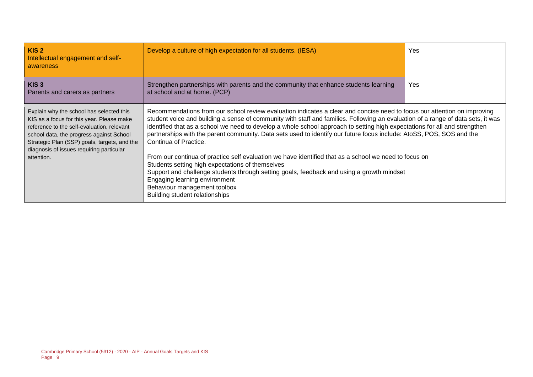| KIS <sub>2</sub><br>Intellectual engagement and self-<br>awareness                                                                                                                                                                                                                        | Develop a culture of high expectation for all students. (IESA)                                                                                                                                                                                                                                                                                                                                                                                                                                                                                                                                                                                                                                                                                                                                                                                                                                           | <b>Yes</b> |
|-------------------------------------------------------------------------------------------------------------------------------------------------------------------------------------------------------------------------------------------------------------------------------------------|----------------------------------------------------------------------------------------------------------------------------------------------------------------------------------------------------------------------------------------------------------------------------------------------------------------------------------------------------------------------------------------------------------------------------------------------------------------------------------------------------------------------------------------------------------------------------------------------------------------------------------------------------------------------------------------------------------------------------------------------------------------------------------------------------------------------------------------------------------------------------------------------------------|------------|
| KIS <sub>3</sub><br>Parents and carers as partners                                                                                                                                                                                                                                        | Strengthen partnerships with parents and the community that enhance students learning<br>at school and at home. (PCP)                                                                                                                                                                                                                                                                                                                                                                                                                                                                                                                                                                                                                                                                                                                                                                                    | <b>Yes</b> |
| Explain why the school has selected this<br>KIS as a focus for this year. Please make<br>reference to the self-evaluation, relevant<br>school data, the progress against School<br>Strategic Plan (SSP) goals, targets, and the<br>diagnosis of issues requiring particular<br>attention. | Recommendations from our school review evaluation indicates a clear and concise need to focus our attention on improving<br>student voice and building a sense of community with staff and families. Following an evaluation of a range of data sets, it was<br>identified that as a school we need to develop a whole school approach to setting high expectations for all and strengthen<br>partnerships with the parent community. Data sets used to identify our future focus include: AtoSS, POS, SOS and the<br>Continua of Practice.<br>From our continua of practice self evaluation we have identified that as a school we need to focus on<br>Students setting high expectations of themselves<br>Support and challenge students through setting goals, feedback and using a growth mindset<br>Engaging learning environment<br>Behaviour management toolbox<br>Building student relationships |            |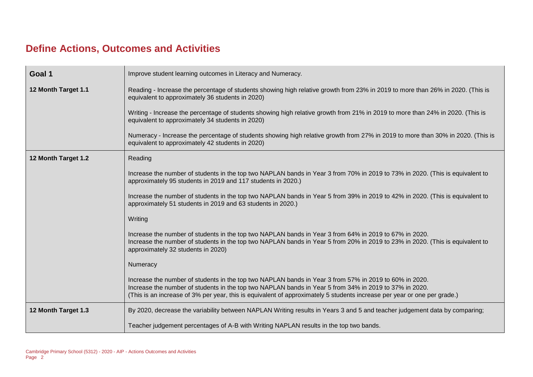# **Define Actions, Outcomes and Activities**

| Goal 1              | Improve student learning outcomes in Literacy and Numeracy.                                                                                                                                                                                                                                                                                  |  |  |  |  |  |
|---------------------|----------------------------------------------------------------------------------------------------------------------------------------------------------------------------------------------------------------------------------------------------------------------------------------------------------------------------------------------|--|--|--|--|--|
| 12 Month Target 1.1 | Reading - Increase the percentage of students showing high relative growth from 23% in 2019 to more than 26% in 2020. (This is<br>equivalent to approximately 36 students in 2020)                                                                                                                                                           |  |  |  |  |  |
|                     | Writing - Increase the percentage of students showing high relative growth from 21% in 2019 to more than 24% in 2020. (This is<br>equivalent to approximately 34 students in 2020)                                                                                                                                                           |  |  |  |  |  |
|                     | Numeracy - Increase the percentage of students showing high relative growth from 27% in 2019 to more than 30% in 2020. (This is<br>equivalent to approximately 42 students in 2020)                                                                                                                                                          |  |  |  |  |  |
| 12 Month Target 1.2 | Reading                                                                                                                                                                                                                                                                                                                                      |  |  |  |  |  |
|                     | Increase the number of students in the top two NAPLAN bands in Year 3 from 70% in 2019 to 73% in 2020. (This is equivalent to<br>approximately 95 students in 2019 and 117 students in 2020.)                                                                                                                                                |  |  |  |  |  |
|                     | Increase the number of students in the top two NAPLAN bands in Year 5 from 39% in 2019 to 42% in 2020. (This is equivalent to<br>approximately 51 students in 2019 and 63 students in 2020.)                                                                                                                                                 |  |  |  |  |  |
|                     | Writing                                                                                                                                                                                                                                                                                                                                      |  |  |  |  |  |
|                     | Increase the number of students in the top two NAPLAN bands in Year 3 from 64% in 2019 to 67% in 2020.<br>Increase the number of students in the top two NAPLAN bands in Year 5 from 20% in 2019 to 23% in 2020. (This is equivalent to<br>approximately 32 students in 2020)                                                                |  |  |  |  |  |
|                     | Numeracy                                                                                                                                                                                                                                                                                                                                     |  |  |  |  |  |
|                     | Increase the number of students in the top two NAPLAN bands in Year 3 from 57% in 2019 to 60% in 2020.<br>Increase the number of students in the top two NAPLAN bands in Year 5 from 34% in 2019 to 37% in 2020.<br>(This is an increase of 3% per year, this is equivalent of approximately 5 students increase per year or one per grade.) |  |  |  |  |  |
| 12 Month Target 1.3 | By 2020, decrease the variability between NAPLAN Writing results in Years 3 and 5 and teacher judgement data by comparing;                                                                                                                                                                                                                   |  |  |  |  |  |
|                     | Teacher judgement percentages of A-B with Writing NAPLAN results in the top two bands.                                                                                                                                                                                                                                                       |  |  |  |  |  |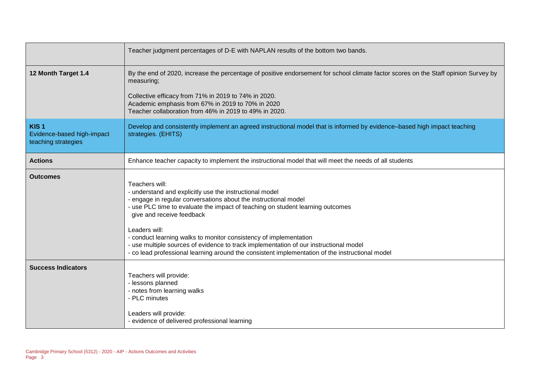|                                                                       | Teacher judgment percentages of D-E with NAPLAN results of the bottom two bands.                                                                                                                                                                                                                                                                                                                                                                                                                                                              |  |  |  |
|-----------------------------------------------------------------------|-----------------------------------------------------------------------------------------------------------------------------------------------------------------------------------------------------------------------------------------------------------------------------------------------------------------------------------------------------------------------------------------------------------------------------------------------------------------------------------------------------------------------------------------------|--|--|--|
| 12 Month Target 1.4                                                   | By the end of 2020, increase the percentage of positive endorsement for school climate factor scores on the Staff opinion Survey by<br>measuring;<br>Collective efficacy from 71% in 2019 to 74% in 2020.<br>Academic emphasis from 67% in 2019 to 70% in 2020<br>Teacher collaboration from 46% in 2019 to 49% in 2020.                                                                                                                                                                                                                      |  |  |  |
| KIS <sub>1</sub><br>Evidence-based high-impact<br>teaching strategies | Develop and consistently implement an agreed instructional model that is informed by evidence-based high impact teaching<br>strategies. (EHITS)                                                                                                                                                                                                                                                                                                                                                                                               |  |  |  |
| <b>Actions</b>                                                        | Enhance teacher capacity to implement the instructional model that will meet the needs of all students                                                                                                                                                                                                                                                                                                                                                                                                                                        |  |  |  |
| Outcomes                                                              | Teachers will:<br>- understand and explicitly use the instructional model<br>- engage in regular conversations about the instructional model<br>- use PLC time to evaluate the impact of teaching on student learning outcomes<br>give and receive feedback<br>Leaders will:<br>- conduct learning walks to monitor consistency of implementation<br>- use multiple sources of evidence to track implementation of our instructional model<br>- co lead professional learning around the consistent implementation of the instructional model |  |  |  |
| <b>Success Indicators</b>                                             | Teachers will provide:<br>- lessons planned<br>- notes from learning walks<br>- PLC minutes<br>Leaders will provide:<br>- evidence of delivered professional learning                                                                                                                                                                                                                                                                                                                                                                         |  |  |  |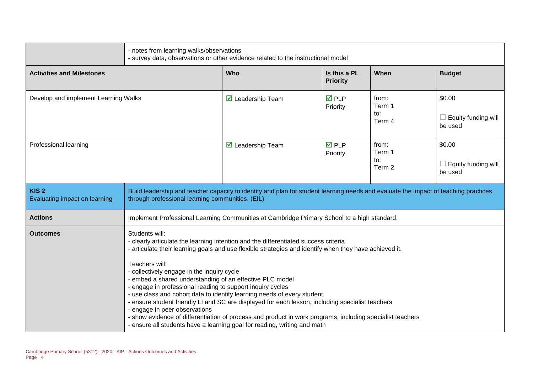|                                                   | - notes from learning walks/observations<br>- survey data, observations or other evidence related to the instructional model                                                                                                                                                                                                                                                                                                                                                                                                                                                                                                                                                                                                                                                                                       |                                                                                             |                                 |                                  |                                                 |
|---------------------------------------------------|--------------------------------------------------------------------------------------------------------------------------------------------------------------------------------------------------------------------------------------------------------------------------------------------------------------------------------------------------------------------------------------------------------------------------------------------------------------------------------------------------------------------------------------------------------------------------------------------------------------------------------------------------------------------------------------------------------------------------------------------------------------------------------------------------------------------|---------------------------------------------------------------------------------------------|---------------------------------|----------------------------------|-------------------------------------------------|
| <b>Activities and Milestones</b>                  |                                                                                                                                                                                                                                                                                                                                                                                                                                                                                                                                                                                                                                                                                                                                                                                                                    | Who                                                                                         | Is this a PL<br><b>Priority</b> | When                             | <b>Budget</b>                                   |
| Develop and implement Learning Walks              |                                                                                                                                                                                                                                                                                                                                                                                                                                                                                                                                                                                                                                                                                                                                                                                                                    | $\triangleright$ Leadership Team                                                            | $\overline{M}$ PLP<br>Priority  | from:<br>Term 1<br>to:<br>Term 4 | \$0.00<br>$\Box$ Equity funding will<br>be used |
| Professional learning                             |                                                                                                                                                                                                                                                                                                                                                                                                                                                                                                                                                                                                                                                                                                                                                                                                                    | $\triangleright$ Leadership Team                                                            | $\overline{M}$ PLP<br>Priority  | from:<br>Term 1<br>to:<br>Term 2 | \$0.00<br>$\Box$ Equity funding will<br>be used |
| KIS <sub>2</sub><br>Evaluating impact on learning | Build leadership and teacher capacity to identify and plan for student learning needs and evaluate the impact of teaching practices<br>through professional learning communities. (EIL)                                                                                                                                                                                                                                                                                                                                                                                                                                                                                                                                                                                                                            |                                                                                             |                                 |                                  |                                                 |
| <b>Actions</b>                                    |                                                                                                                                                                                                                                                                                                                                                                                                                                                                                                                                                                                                                                                                                                                                                                                                                    | Implement Professional Learning Communities at Cambridge Primary School to a high standard. |                                 |                                  |                                                 |
| <b>Outcomes</b>                                   | Students will:<br>- clearly articulate the learning intention and the differentiated success criteria<br>- articulate their learning goals and use flexible strategies and identify when they have achieved it.<br>Teachers will:<br>- collectively engage in the inquiry cycle<br>- embed a shared understanding of an effective PLC model<br>- engage in professional reading to support inquiry cycles<br>- use class and cohort data to identify learning needs of every student<br>- ensure student friendly LI and SC are displayed for each lesson, including specialist teachers<br>- engage in peer observations<br>- show evidence of differentiation of process and product in work programs, including specialist teachers<br>- ensure all students have a learning goal for reading, writing and math |                                                                                             |                                 |                                  |                                                 |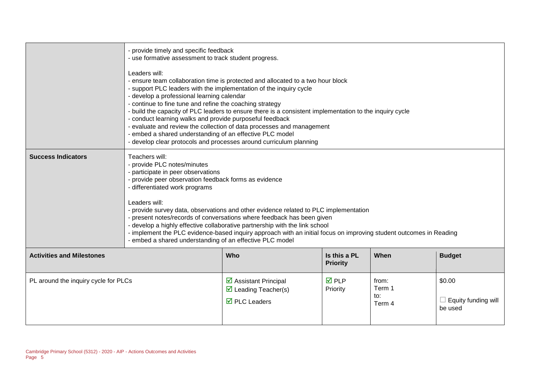|                                      | - provide timely and specific feedback<br>- use formative assessment to track student progress.<br>Leaders will:<br>- ensure team collaboration time is protected and allocated to a two hour block<br>- support PLC leaders with the implementation of the inquiry cycle<br>- develop a professional learning calendar<br>- continue to fine tune and refine the coaching strategy<br>- build the capacity of PLC leaders to ensure there is a consistent implementation to the inquiry cycle<br>- conduct learning walks and provide purposeful feedback<br>- evaluate and review the collection of data processes and management<br>- embed a shared understanding of an effective PLC model<br>- develop clear protocols and processes around curriculum planning |                                                                                                    |                                 |                                  |                                          |
|--------------------------------------|-----------------------------------------------------------------------------------------------------------------------------------------------------------------------------------------------------------------------------------------------------------------------------------------------------------------------------------------------------------------------------------------------------------------------------------------------------------------------------------------------------------------------------------------------------------------------------------------------------------------------------------------------------------------------------------------------------------------------------------------------------------------------|----------------------------------------------------------------------------------------------------|---------------------------------|----------------------------------|------------------------------------------|
| <b>Success Indicators</b>            | Teachers will:<br>- provide PLC notes/minutes<br>- participate in peer observations<br>- provide peer observation feedback forms as evidence<br>- differentiated work programs<br>Leaders will:<br>- provide survey data, observations and other evidence related to PLC implementation<br>- present notes/records of conversations where feedback has been given<br>- develop a highly effective collaborative partnership with the link school<br>- implement the PLC evidence-based inquiry approach with an initial focus on improving student outcomes in Reading<br>- embed a shared understanding of an effective PLC model                                                                                                                                    |                                                                                                    |                                 |                                  |                                          |
| <b>Activities and Milestones</b>     |                                                                                                                                                                                                                                                                                                                                                                                                                                                                                                                                                                                                                                                                                                                                                                       | Who                                                                                                | Is this a PL<br><b>Priority</b> | When                             | <b>Budget</b>                            |
| PL around the inquiry cycle for PLCs |                                                                                                                                                                                                                                                                                                                                                                                                                                                                                                                                                                                                                                                                                                                                                                       | ☑ Assistant Principal<br>$\triangleright$ Leading Teacher(s)<br>$\overline{\boxtimes}$ PLC Leaders | $\overline{M}$ PLP<br>Priority  | from:<br>Term 1<br>to:<br>Term 4 | \$0.00<br>Equity funding will<br>be used |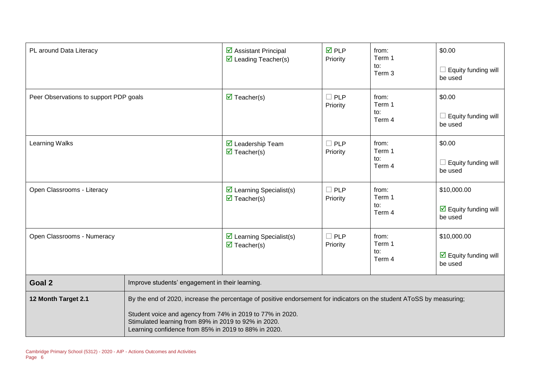| PL around Data Literacy                |                                                                                                                                                                                                                                                                                                    | $\triangleright$ Assistant Principal<br>$\triangleright$ Leading Teacher(s)   | $\overline{M}$ PLP<br>Priority | from:<br>Term 1<br>to:<br>Term 3 | \$0.00<br>$\Box$ Equity funding will<br>be used                       |
|----------------------------------------|----------------------------------------------------------------------------------------------------------------------------------------------------------------------------------------------------------------------------------------------------------------------------------------------------|-------------------------------------------------------------------------------|--------------------------------|----------------------------------|-----------------------------------------------------------------------|
| Peer Observations to support PDP goals |                                                                                                                                                                                                                                                                                                    | $\overline{\mathbf{M}}$ Teacher(s)                                            | $\square$ PLP<br>Priority      | from:<br>Term 1<br>to:<br>Term 4 | \$0.00<br>$\Box$ Equity funding will<br>be used                       |
| <b>Learning Walks</b>                  |                                                                                                                                                                                                                                                                                                    | $\overline{\mathbf{M}}$ Leadership Team<br>$\overline{\mathbf{M}}$ Teacher(s) | $\square$ PLP<br>Priority      | from:<br>Term 1<br>to:<br>Term 4 | \$0.00<br>Equity funding will<br>be used                              |
| Open Classrooms - Literacy             |                                                                                                                                                                                                                                                                                                    | $\triangleright$ Learning Specialist(s)<br>$\overline{\mathbf{M}}$ Teacher(s) | $\Box$ PLP<br>Priority         | from:<br>Term 1<br>to:<br>Term 4 | \$10,000.00<br>$\triangleright$ Equity funding will<br>be used        |
| Open Classrooms - Numeracy             |                                                                                                                                                                                                                                                                                                    | $\triangleright$ Learning Specialist(s)<br>$\overline{\mathbf{M}}$ Teacher(s) | $\square$ PLP<br>Priority      | from:<br>Term 1<br>to:<br>Term 4 | \$10,000.00<br>$\overline{\mathbf{M}}$ Equity funding will<br>be used |
| Goal 2                                 | Improve students' engagement in their learning.                                                                                                                                                                                                                                                    |                                                                               |                                |                                  |                                                                       |
| 12 Month Target 2.1                    | By the end of 2020, increase the percentage of positive endorsement for indicators on the student AToSS by measuring;<br>Student voice and agency from 74% in 2019 to 77% in 2020.<br>Stimulated learning from 89% in 2019 to 92% in 2020.<br>Learning confidence from 85% in 2019 to 88% in 2020. |                                                                               |                                |                                  |                                                                       |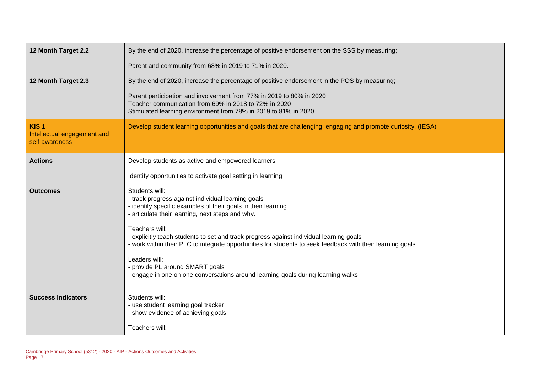| 12 Month Target 2.2                                               | By the end of 2020, increase the percentage of positive endorsement on the SSS by measuring;                                                                                                                                                                                                                                                                                                                                                                                                                                                                 |
|-------------------------------------------------------------------|--------------------------------------------------------------------------------------------------------------------------------------------------------------------------------------------------------------------------------------------------------------------------------------------------------------------------------------------------------------------------------------------------------------------------------------------------------------------------------------------------------------------------------------------------------------|
|                                                                   | Parent and community from 68% in 2019 to 71% in 2020.                                                                                                                                                                                                                                                                                                                                                                                                                                                                                                        |
| 12 Month Target 2.3                                               | By the end of 2020, increase the percentage of positive endorsement in the POS by measuring;                                                                                                                                                                                                                                                                                                                                                                                                                                                                 |
|                                                                   | Parent participation and involvement from 77% in 2019 to 80% in 2020<br>Teacher communication from 69% in 2018 to 72% in 2020<br>Stimulated learning environment from 78% in 2019 to 81% in 2020.                                                                                                                                                                                                                                                                                                                                                            |
| KIS <sub>1</sub><br>Intellectual engagement and<br>self-awareness | Develop student learning opportunities and goals that are challenging, engaging and promote curiosity. (IESA)                                                                                                                                                                                                                                                                                                                                                                                                                                                |
| <b>Actions</b>                                                    | Develop students as active and empowered learners                                                                                                                                                                                                                                                                                                                                                                                                                                                                                                            |
|                                                                   | Identify opportunities to activate goal setting in learning                                                                                                                                                                                                                                                                                                                                                                                                                                                                                                  |
| <b>Outcomes</b>                                                   | Students will:<br>- track progress against individual learning goals<br>- identify specific examples of their goals in their learning<br>- articulate their learning, next steps and why.<br>Teachers will:<br>- explicitly teach students to set and track progress against individual learning goals<br>- work within their PLC to integrate opportunities for students to seek feedback with their learning goals<br>Leaders will:<br>- provide PL around SMART goals<br>- engage in one on one conversations around learning goals during learning walks |
| <b>Success Indicators</b>                                         | Students will:<br>- use student learning goal tracker<br>- show evidence of achieving goals<br>Teachers will:                                                                                                                                                                                                                                                                                                                                                                                                                                                |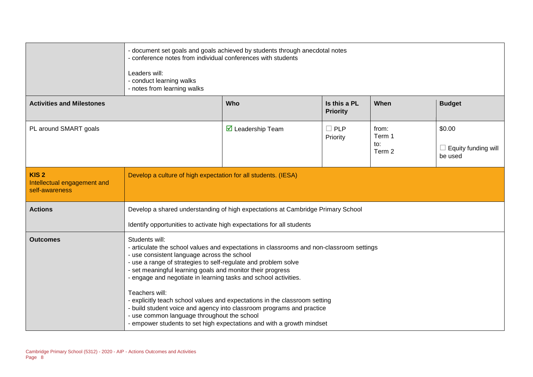|                                                                   | - conference notes from individual conferences with students<br>Leaders will:<br>- conduct learning walks<br>- notes from learning walks                                                                                                                                                                                                                     | - document set goals and goals achieved by students through anecdotal notes                                                                                                                                                  |                                 |                                  |                                                 |  |
|-------------------------------------------------------------------|--------------------------------------------------------------------------------------------------------------------------------------------------------------------------------------------------------------------------------------------------------------------------------------------------------------------------------------------------------------|------------------------------------------------------------------------------------------------------------------------------------------------------------------------------------------------------------------------------|---------------------------------|----------------------------------|-------------------------------------------------|--|
| <b>Activities and Milestones</b>                                  |                                                                                                                                                                                                                                                                                                                                                              | Who                                                                                                                                                                                                                          | Is this a PL<br><b>Priority</b> | When                             | <b>Budget</b>                                   |  |
| PL around SMART goals                                             |                                                                                                                                                                                                                                                                                                                                                              | $\triangledown$ Leadership Team                                                                                                                                                                                              | $\Box$ PLP<br>Priority          | from:<br>Term 1<br>to:<br>Term 2 | \$0.00<br>$\Box$ Equity funding will<br>be used |  |
| KIS <sub>2</sub><br>Intellectual engagement and<br>self-awareness | Develop a culture of high expectation for all students. (IESA)                                                                                                                                                                                                                                                                                               |                                                                                                                                                                                                                              |                                 |                                  |                                                 |  |
| <b>Actions</b>                                                    |                                                                                                                                                                                                                                                                                                                                                              | Develop a shared understanding of high expectations at Cambridge Primary School<br>Identify opportunities to activate high expectations for all students                                                                     |                                 |                                  |                                                 |  |
| Outcomes                                                          | Students will:<br>- articulate the school values and expectations in classrooms and non-classroom settings<br>- use consistent language across the school<br>- use a range of strategies to self-regulate and problem solve<br>- set meaningful learning goals and monitor their progress<br>- engage and negotiate in learning tasks and school activities. |                                                                                                                                                                                                                              |                                 |                                  |                                                 |  |
|                                                                   | Teachers will:<br>- use common language throughout the school                                                                                                                                                                                                                                                                                                | - explicitly teach school values and expectations in the classroom setting<br>- build student voice and agency into classroom programs and practice<br>- empower students to set high expectations and with a growth mindset |                                 |                                  |                                                 |  |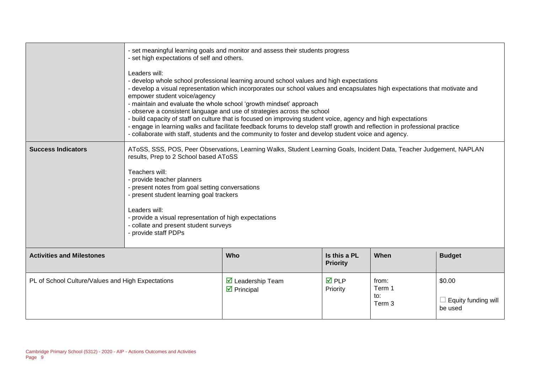|                                                   | - set meaningful learning goals and monitor and assess their students progress<br>- set high expectations of self and others.<br>Leaders will:<br>- develop whole school professional learning around school values and high expectations<br>- develop a visual representation which incorporates our school values and encapsulates high expectations that motivate and<br>empower student voice/agency<br>- maintain and evaluate the whole school 'growth mindset' approach<br>- observe a consistent language and use of strategies across the school<br>- build capacity of staff on culture that is focused on improving student voice, agency and high expectations<br>- engage in learning walks and facilitate feedback forums to develop staff growth and reflection in professional practice<br>- collaborate with staff, students and the community to foster and develop student voice and agency. |                                                               |                                 |                                  |                                          |
|---------------------------------------------------|-----------------------------------------------------------------------------------------------------------------------------------------------------------------------------------------------------------------------------------------------------------------------------------------------------------------------------------------------------------------------------------------------------------------------------------------------------------------------------------------------------------------------------------------------------------------------------------------------------------------------------------------------------------------------------------------------------------------------------------------------------------------------------------------------------------------------------------------------------------------------------------------------------------------|---------------------------------------------------------------|---------------------------------|----------------------------------|------------------------------------------|
| <b>Success Indicators</b>                         | AToSS, SSS, POS, Peer Observations, Learning Walks, Student Learning Goals, Incident Data, Teacher Judgement, NAPLAN<br>results, Prep to 2 School based AToSS<br>Teachers will:<br>- provide teacher planners<br>- present notes from goal setting conversations<br>- present student learning goal trackers<br>Leaders will:<br>- provide a visual representation of high expectations<br>- collate and present student surveys<br>- provide staff PDPs                                                                                                                                                                                                                                                                                                                                                                                                                                                        |                                                               |                                 |                                  |                                          |
| <b>Activities and Milestones</b>                  |                                                                                                                                                                                                                                                                                                                                                                                                                                                                                                                                                                                                                                                                                                                                                                                                                                                                                                                 | Who                                                           | Is this a PL<br><b>Priority</b> | When                             | <b>Budget</b>                            |
| PL of School Culture/Values and High Expectations |                                                                                                                                                                                                                                                                                                                                                                                                                                                                                                                                                                                                                                                                                                                                                                                                                                                                                                                 | $\triangledown$ Leadership Team<br>$\triangleright$ Principal | <b>☑</b> PLP<br>Priority        | from:<br>Term 1<br>to:<br>Term 3 | \$0.00<br>Equity funding will<br>be used |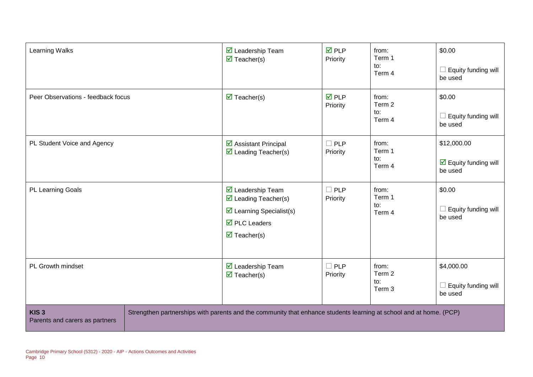| Learning Walks                                     | $\triangledown$ Leadership Team<br>$\overline{\mathbf{M}}$ Teacher(s)                                                                                                                         | $\overline{M}$ PLP<br>Priority | from:<br>Term 1<br>to:<br>Term 4 | \$0.00<br>Equity funding will<br>be used                              |
|----------------------------------------------------|-----------------------------------------------------------------------------------------------------------------------------------------------------------------------------------------------|--------------------------------|----------------------------------|-----------------------------------------------------------------------|
| Peer Observations - feedback focus                 | $\overline{\mathbf{M}}$ Teacher(s)                                                                                                                                                            | $\overline{M}$ PLP<br>Priority | from:<br>Term 2<br>to:<br>Term 4 | \$0.00<br>Equity funding will<br>be used                              |
| PL Student Voice and Agency                        | ☑ Assistant Principal<br>$\triangleright$ Leading Teacher(s)                                                                                                                                  | $\Box$ PLP<br>Priority         | from:<br>Term 1<br>to:<br>Term 4 | \$12,000.00<br>$\overline{\mathbf{y}}$ Equity funding will<br>be used |
| <b>PL Learning Goals</b>                           | $\triangledown$ Leadership Team<br>$\triangleright$ Leading Teacher(s)<br>$\triangleright$ Learning Specialist(s)<br>$\overline{\boxtimes}$ PLC Leaders<br>$\overline{\mathbf{M}}$ Teacher(s) | $\Box$ PLP<br>Priority         | from:<br>Term 1<br>to:<br>Term 4 | \$0.00<br>Equity funding will<br>be used                              |
| PL Growth mindset                                  | $\triangledown$ Leadership Team<br>$\overline{\mathbf{M}}$ Teacher(s)                                                                                                                         | $\square$ PLP<br>Priority      | from:<br>Term 2<br>to:<br>Term 3 | \$4,000.00<br>Equity funding will<br>be used                          |
| KIS <sub>3</sub><br>Parents and carers as partners | Strengthen partnerships with parents and the community that enhance students learning at school and at home. (PCP)                                                                            |                                |                                  |                                                                       |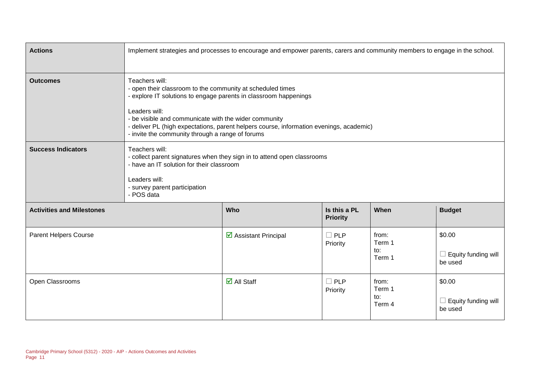| <b>Actions</b>                   |                                                                                | Implement strategies and processes to encourage and empower parents, carers and community members to engage in the school.                                                                                                                                                                                                             |                                 |                                  |                                                 |  |
|----------------------------------|--------------------------------------------------------------------------------|----------------------------------------------------------------------------------------------------------------------------------------------------------------------------------------------------------------------------------------------------------------------------------------------------------------------------------------|---------------------------------|----------------------------------|-------------------------------------------------|--|
| <b>Outcomes</b>                  | Teachers will:<br>Leaders will:                                                | - open their classroom to the community at scheduled times<br>- explore IT solutions to engage parents in classroom happenings<br>- be visible and communicate with the wider community<br>- deliver PL (high expectations, parent helpers course, information evenings, academic)<br>- invite the community through a range of forums |                                 |                                  |                                                 |  |
| <b>Success Indicators</b>        | Teachers will:<br>Leaders will:<br>- survey parent participation<br>- POS data | - collect parent signatures when they sign in to attend open classrooms<br>- have an IT solution for their classroom                                                                                                                                                                                                                   |                                 |                                  |                                                 |  |
| <b>Activities and Milestones</b> |                                                                                | Who                                                                                                                                                                                                                                                                                                                                    | Is this a PL<br><b>Priority</b> | When                             | <b>Budget</b>                                   |  |
| <b>Parent Helpers Course</b>     |                                                                                | $\triangleright$ Assistant Principal                                                                                                                                                                                                                                                                                                   | $\Box$ PLP<br>Priority          | from:<br>Term 1<br>to:<br>Term 1 | \$0.00<br>$\Box$ Equity funding will<br>be used |  |
| Open Classrooms                  |                                                                                | $\overline{\mathsf{M}}$ All Staff                                                                                                                                                                                                                                                                                                      | $\Box$ PLP<br>Priority          | from:<br>Term 1<br>to:<br>Term 4 | \$0.00<br>$\Box$ Equity funding will<br>be used |  |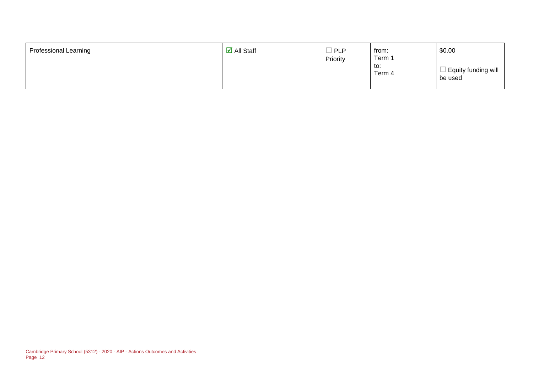| \$0.00<br>$\overline{\mathsf{M}}$ All Staff<br><b>Professional Learning</b><br><b>PLP</b><br>from:<br>Term 1<br>Priority<br>to:<br>$\mathbb I$ Equity funding will<br>Term 4<br>be used |
|-----------------------------------------------------------------------------------------------------------------------------------------------------------------------------------------|
|-----------------------------------------------------------------------------------------------------------------------------------------------------------------------------------------|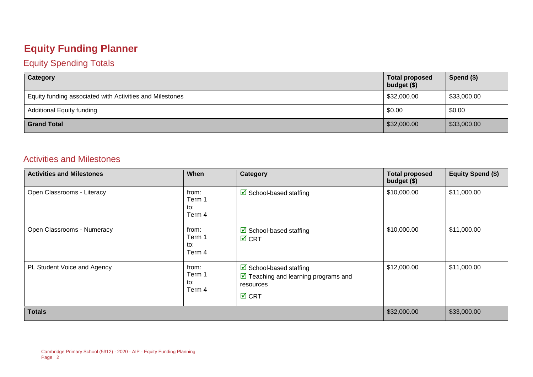# **Equity Funding Planner**

#### Equity Spending Totals

| Category                                                 | <b>Total proposed</b><br>budget $($)$ | Spend $($)$ |
|----------------------------------------------------------|---------------------------------------|-------------|
| Equity funding associated with Activities and Milestones | \$32,000.00                           | \$33,000.00 |
| <b>Additional Equity funding</b>                         | \$0.00                                | \$0.00      |
| <b>Grand Total</b>                                       | \$32,000.00                           | \$33,000.00 |

#### Activities and Milestones

| <b>Activities and Milestones</b> | When                             | Category                                                                                                                         | <b>Total proposed</b><br>budget (\$) | Equity Spend (\$) |
|----------------------------------|----------------------------------|----------------------------------------------------------------------------------------------------------------------------------|--------------------------------------|-------------------|
| Open Classrooms - Literacy       | from:<br>Term 1<br>to:<br>Term 4 | $\triangleright$ School-based staffing                                                                                           | \$10,000.00                          | \$11,000.00       |
| Open Classrooms - Numeracy       | from:<br>Term 1<br>to:<br>Term 4 | $\boxdot$ School-based staffing<br>$\overline{M}$ CRT                                                                            | \$10,000.00                          | \$11,000.00       |
| PL Student Voice and Agency      | from:<br>Term 1<br>to:<br>Term 4 | $\triangleright$ School-based staffing<br>$\boxed{\triangle}$ Teaching and learning programs and<br>resources<br>$\boxtimes$ CRT | \$12,000.00                          | \$11,000.00       |
| <b>Totals</b>                    |                                  |                                                                                                                                  | \$32,000.00                          | \$33,000.00       |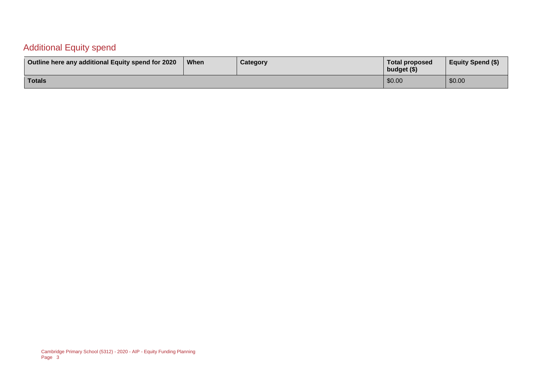#### Additional Equity spend

| Outline here any additional Equity spend for 2020 | When | Category | Total proposed<br>budget (\$) | <b>Equity Spend (\$)</b> |
|---------------------------------------------------|------|----------|-------------------------------|--------------------------|
| Totals                                            |      |          | \$0.00                        | \$0.00                   |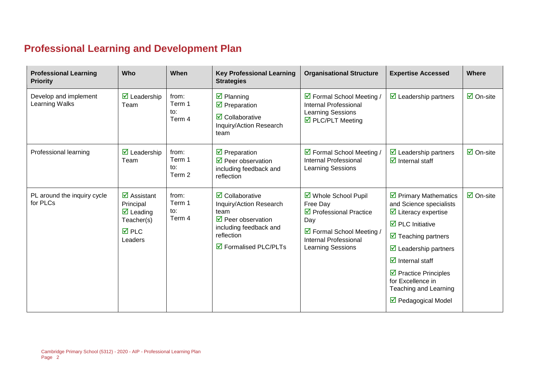# **Professional Learning and Development Plan**

| <b>Professional Learning</b><br><b>Priority</b> | Who                                                                                                                              | When                             | <b>Key Professional Learning</b><br><b>Strategies</b>                                                                                                                                       | <b>Organisational Structure</b>                                                                                                                             | <b>Expertise Accessed</b>                                                                                                                                                                                                                                                                                                                                                             | Where                           |
|-------------------------------------------------|----------------------------------------------------------------------------------------------------------------------------------|----------------------------------|---------------------------------------------------------------------------------------------------------------------------------------------------------------------------------------------|-------------------------------------------------------------------------------------------------------------------------------------------------------------|---------------------------------------------------------------------------------------------------------------------------------------------------------------------------------------------------------------------------------------------------------------------------------------------------------------------------------------------------------------------------------------|---------------------------------|
| Develop and implement<br>Learning Walks         | $\triangleright$ Leadership<br>Team                                                                                              | from:<br>Term 1<br>to:<br>Term 4 | $\overline{\mathbf{z}}$ Planning<br>$\overline{\mathbf{y}}$ Preparation<br>$\overline{\mathbf{2}}$ Collaborative<br>Inquiry/Action Research<br>team                                         | ☑ Formal School Meeting /<br><b>Internal Professional</b><br>Learning Sessions<br>$\triangledown$ PLC/PLT Meeting                                           | $\triangleright$ Leadership partners                                                                                                                                                                                                                                                                                                                                                  | $\overline{\mathbf{a}}$ On-site |
| Professional learning                           | $\triangleright$ Leadership<br>Team                                                                                              | from:<br>Term 1<br>to:<br>Term 2 | $\overline{\mathbf{M}}$ Preparation<br>$\triangledown$ Peer observation<br>including feedback and<br>reflection                                                                             | ☑ Formal School Meeting /<br><b>Internal Professional</b><br><b>Learning Sessions</b>                                                                       | $\triangleright$ Leadership partners<br>$\triangledown$ Internal staff                                                                                                                                                                                                                                                                                                                | $\overline{\mathsf{M}}$ On-site |
| PL around the inquiry cycle<br>for PLCs         | $\overline{\mathbf{M}}$ Assistant<br>Principal<br>$\overline{\mathbf{M}}$ Leading<br>Teacher(s)<br>$\overline{M}$ PLC<br>Leaders | from:<br>Term 1<br>to:<br>Term 4 | $\overline{\mathbf{Z}}$ Collaborative<br>Inquiry/Action Research<br>team<br>$\triangledown$ Peer observation<br>including feedback and<br>reflection<br>$\triangledown$ Formalised PLC/PLTs | ☑ Whole School Pupil<br>Free Day<br>$\triangledown$ Professional Practice<br>Day<br>☑ Formal School Meeting /<br>Internal Professional<br>Learning Sessions | $\triangleright$ Primary Mathematics<br>and Science specialists<br>$\triangleright$ Literacy expertise<br>$\triangleright$ PLC Initiative<br>$\overline{\mathbf{y}}$ Teaching partners<br>$\triangleright$ Leadership partners<br>$\overline{\mathbf{y}}$ Internal staff<br>$\triangleright$ Practice Principles<br>for Excellence in<br>Teaching and Learning<br>☑ Pedagogical Model | $\overline{\mathsf{M}}$ On-site |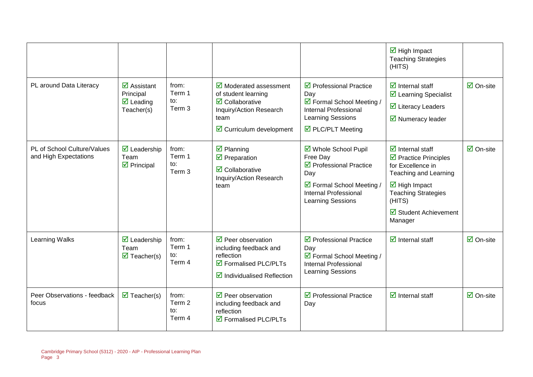|                                                      |                                                                                         |                                  |                                                                                                                                                                                       |                                                                                                                                                                           | $\overline{\mathbf{M}}$ High Impact<br><b>Teaching Strategies</b><br>(HITS)                                                                                                                                                                                           |                                 |
|------------------------------------------------------|-----------------------------------------------------------------------------------------|----------------------------------|---------------------------------------------------------------------------------------------------------------------------------------------------------------------------------------|---------------------------------------------------------------------------------------------------------------------------------------------------------------------------|-----------------------------------------------------------------------------------------------------------------------------------------------------------------------------------------------------------------------------------------------------------------------|---------------------------------|
| PL around Data Literacy                              | $\overline{\mathbf{z}}$ Assistant<br>Principal<br>$\triangledown$ Leading<br>Teacher(s) | from:<br>Term 1<br>to:<br>Term 3 | $\overline{\mathbf{y}}$ Moderated assessment<br>of student learning<br>$\overline{\mathbf{z}}$ Collaborative<br>Inquiry/Action Research<br>team<br>$\boxtimes$ Curriculum development | $\triangledown$ Professional Practice<br>Day<br>☑ Formal School Meeting /<br><b>Internal Professional</b><br><b>Learning Sessions</b><br>☑ PLC/PLT Meeting                | $\overline{\mathbf{z}}$ Internal staff<br>☑ Learning Specialist<br>$\overline{\mathbf{M}}$ Literacy Leaders<br>$\overline{\mathbf{y}}$ Numeracy leader                                                                                                                | $\overline{\Box}$ On-site       |
| PL of School Culture/Values<br>and High Expectations | $\overline{\mathbf{2}}$ Leadership<br>Team<br>$\triangleright$ Principal                | from:<br>Term 1<br>to:<br>Term 3 | $\overline{\mathbf{y}}$ Planning<br>$\triangledown$ Preparation<br>$\overline{\mathbf{z}}$ Collaborative<br>Inquiry/Action Research<br>team                                           | ☑ Whole School Pupil<br>Free Day<br>$\triangledown$ Professional Practice<br>Day<br>☑ Formal School Meeting /<br><b>Internal Professional</b><br><b>Learning Sessions</b> | $\overline{\mathbf{d}}$ Internal staff<br>$\triangleright$ Practice Principles<br>for Excellence in<br>Teaching and Learning<br>$\overline{\mathbf{M}}$ High Impact<br><b>Teaching Strategies</b><br>(HITS)<br>$\overline{\mathbf{M}}$ Student Achievement<br>Manager | $\overline{\Box}$ On-site       |
| Learning Walks                                       | $\overline{\mathbf{M}}$ Leadership<br>Team<br>$\overline{\mathbf{M}}$ Teacher(s)        | from:<br>Term 1<br>to:<br>Term 4 | $\triangledown$ Peer observation<br>including feedback and<br>reflection<br>$\triangledown$ Formalised PLC/PLTs<br>$\boxtimes$ Individualised Reflection                              | $\triangledown$ Professional Practice<br>Day<br>☑ Formal School Meeting /<br>Internal Professional<br><b>Learning Sessions</b>                                            | $\overline{\mathbf{d}}$ Internal staff                                                                                                                                                                                                                                | $\overline{\Box}$ On-site       |
| Peer Observations - feedback<br>focus                | $\overline{\mathbf{M}}$ Teacher(s)                                                      | from:<br>Term 2<br>to:<br>Term 4 | $\triangledown$ Peer observation<br>including feedback and<br>reflection<br>☑ Formalised PLC/PLTs                                                                                     | $\triangledown$ Professional Practice<br>Day                                                                                                                              | $\overline{\mathbf{d}}$ Internal staff                                                                                                                                                                                                                                | $\overline{\mathbf{a}}$ On-site |